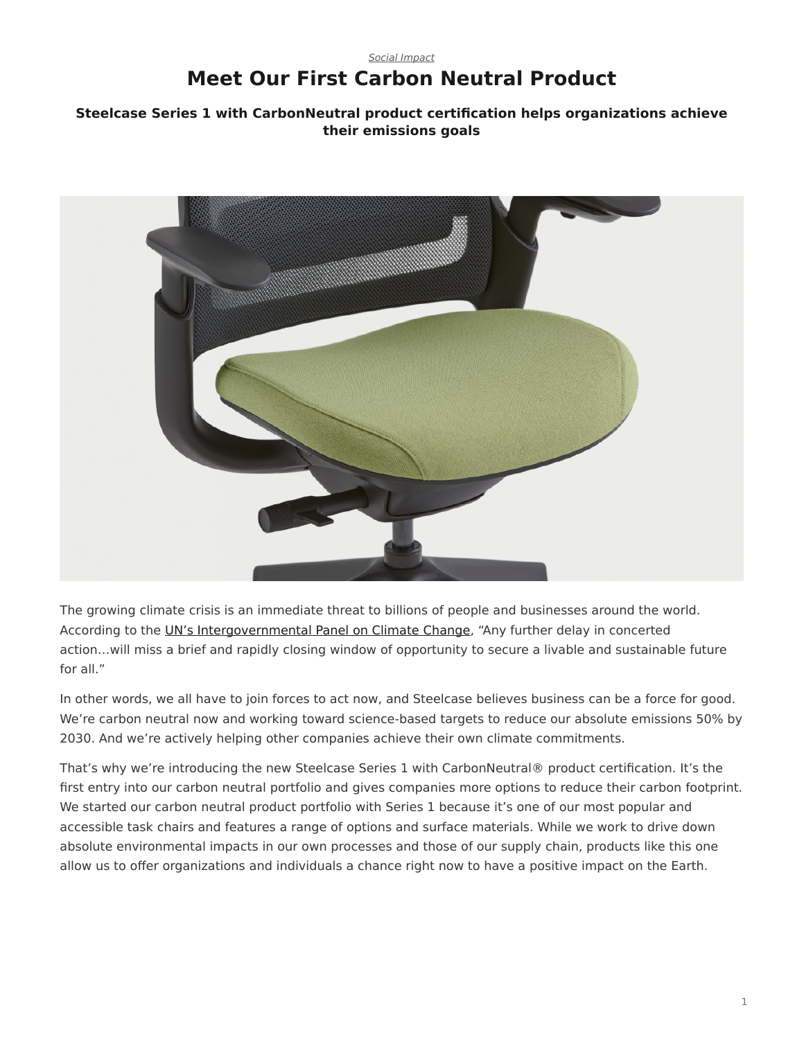# <span id="page-0-0"></span>*[Social Impact](https://www.steelcase.com/research/topics/social-impact/)* **Meet Our First Carbon Neutral Product**

## **Steelcase Series 1 with CarbonNeutral product certification helps organizations achieve their emissions goals**



The growing climate crisis is an immediate threat to billions of people and businesses around the world. According to the [UN's Intergovernmental Panel on Climate Change](https://www.nature.org/en-us/what-we-do/our-insights/perspectives/ipcc-report-climate-change/), "Any further delay in concerted action…will miss a brief and rapidly closing window of opportunity to secure a livable and sustainable future for all."

In other words, we all have to join forces to act now, and Steelcase believes business can be a force for good. We're carbon neutral now and working toward science-based targets to reduce our absolute emissions 50% by 2030. And we're actively helping other companies achieve their own climate commitments.

That's why we're introducing the new Steelcase Series 1 with CarbonNeutral® product certification. It's the first entry into our carbon neutral portfolio and gives companies more options to reduce their carbon footprint. We started our carbon neutral product portfolio with Series 1 because it's one of our most popular and accessible task chairs and features a range of options and surface materials. While we work to drive down absolute environmental impacts in our own processes and those of our supply chain, products like this one allow us to offer organizations and individuals a chance right now to have a positive impact on the Earth.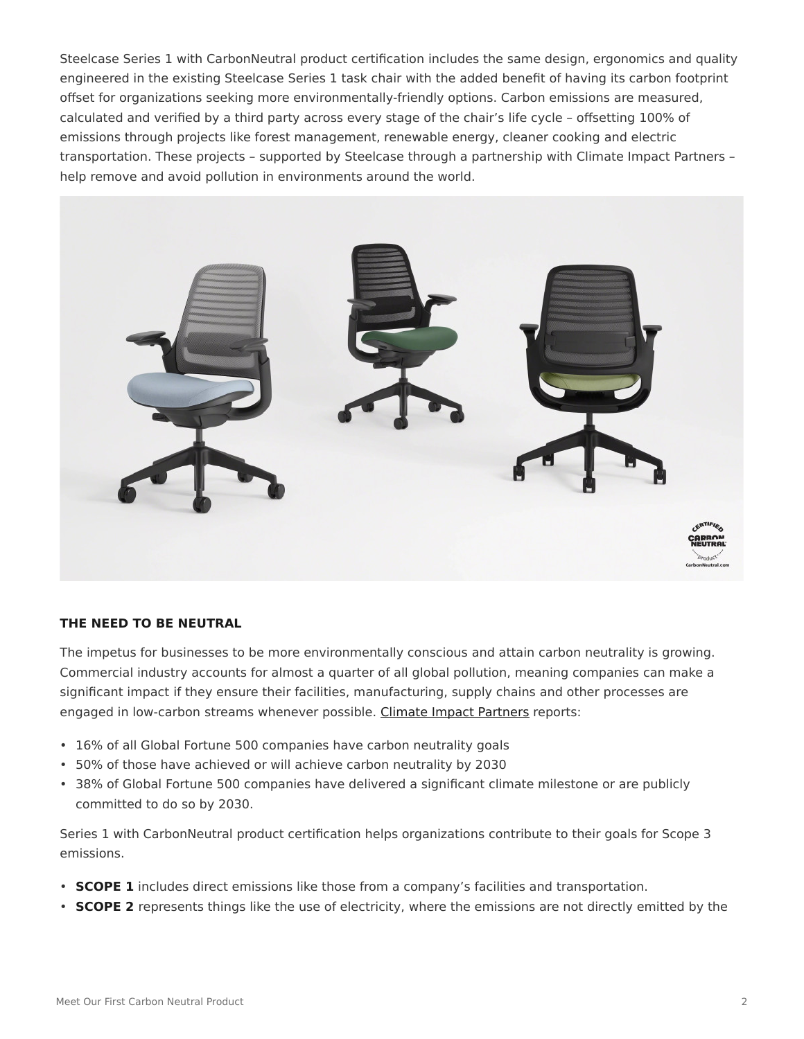Steelcase Series 1 with CarbonNeutral product certification includes the same design, ergonomics and quality engineered in the existing Steelcase Series 1 task chair with the added benefit of having its carbon footprint offset for organizations seeking more environmentally-friendly options. Carbon emissions are measured, calculated and verified by a third party across every stage of the chair's life cycle – offsetting 100% of emissions through projects like forest management, renewable energy, cleaner cooking and electric transportation. These projects – supported by Steelcase through a partnership with Climate Impact Partners – help remove and avoid pollution in environments around the world.



#### **THE NEED TO BE NEUTRAL**

The impetus for businesses to be more environmentally conscious and attain carbon neutrality is growing. Commercial industry accounts for almost a quarter of all global pollution, meaning companies can make a significant impact if they ensure their facilities, manufacturing, supply chains and other processes are engaged in low-carbon streams whenever possible. [Climate Impact Partners](https://www.climateimpact.com/news-insights/insights/reality-check-climate-action-and-commitments-fortune-global-500/) reports:

- 16% of all Global Fortune 500 companies have carbon neutrality goals
- 50% of those have achieved or will achieve carbon neutrality by 2030
- 38% of Global Fortune 500 companies have delivered a significant climate milestone or are publicly committed to do so by 2030.

Series 1 with CarbonNeutral product certification helps organizations contribute to their goals for Scope 3 emissions.

- **SCOPE 1** includes direct emissions like those from a company's facilities and transportation.
- **SCOPE 2** represents things like the use of electricity, where the emissions are not directly emitted by the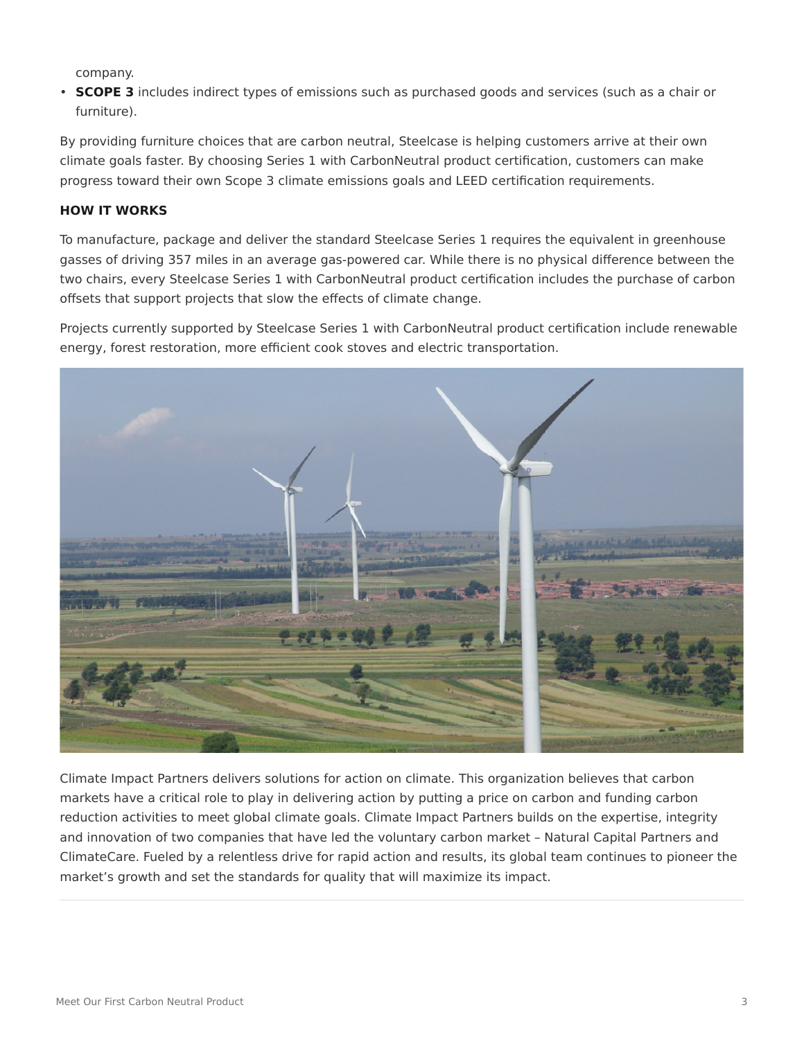company.

• **SCOPE 3** includes indirect types of emissions such as purchased goods and services (such as a chair or furniture).

By providing furniture choices that are carbon neutral, Steelcase is helping customers arrive at their own climate goals faster. By choosing Series 1 with CarbonNeutral product certification, customers can make progress toward their own Scope 3 climate emissions goals and LEED certification requirements.

### **HOW IT WORKS**

To manufacture, package and deliver the standard Steelcase Series 1 requires the equivalent in greenhouse gasses of driving 357 miles in an average gas-powered car. While there is no physical difference between the two chairs, every Steelcase Series 1 with CarbonNeutral product certification includes the purchase of carbon offsets that support projects that slow the effects of climate change.

Projects currently supported by Steelcase Series 1 with CarbonNeutral product certification include renewable energy, forest restoration, more efficient cook stoves and electric transportation.



Climate Impact Partners delivers solutions for action on climate. This organization believes that carbon markets have a critical role to play in delivering action by putting a price on carbon and funding carbon reduction activities to meet global climate goals. Climate Impact Partners builds on the expertise, integrity and innovation of two companies that have led the voluntary carbon market – Natural Capital Partners and ClimateCare. Fueled by a relentless drive for rapid action and results, its global team continues to pioneer the market's growth and set the standards for quality that will maximize its impact.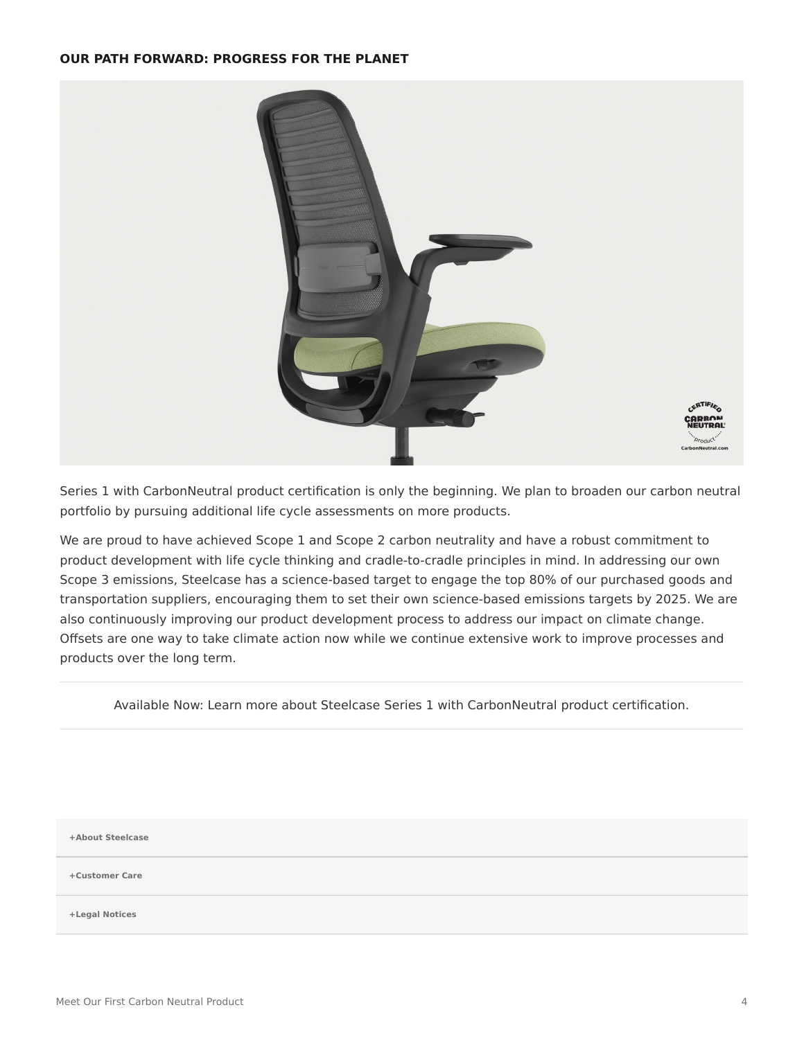#### **OUR PATH FORWARD: PROGRESS FOR THE PLANET**



Series 1 with CarbonNeutral product certification is only the beginning. We plan to broaden our carbon neutral portfolio by pursuing additional life cycle assessments on more products.

We are proud to have achieved Scope 1 and Scope 2 carbon neutrality and have a robust commitment to product development with life cycle thinking and cradle-to-cradle principles in mind. In addressing our own Scope 3 emissions, Steelcase has a science-based target to engage the top 80% of our purchased goods and transportation suppliers, encouraging them to set their own science-based emissions targets by 2025. We are also continuously improving our product development process to address our impact on climate change. Offsets are one way to take climate action now while we continue extensive work to improve processes and products over the long term.

Available Now: Learn more about Steelcase Series 1 with CarbonNeutral product certification.

**[+About Steelcase](https://www.steelcase.com/discover/steelcase/our-company/)**

**[+Customer Care](#page-0-0)**

**[+Legal Notices](#page-0-0)**